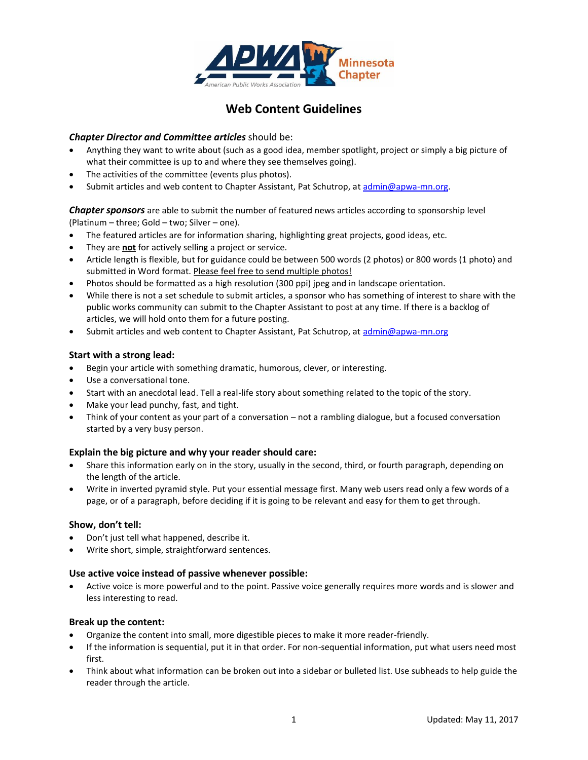

# **Web Content Guidelines**

# *Chapter Director and Committee articles* should be:

- Anything they want to write about (such as a good idea, member spotlight, project or simply a big picture of what their committee is up to and where they see themselves going).
- The activities of the committee (events plus photos).
- Submit articles and web content to Chapter Assistant, Pat Schutrop, at [admin@apwa-mn.org.](mailto:admin@apwa-mn.org)

*Chapter sponsors* are able to submit the number of featured news articles according to sponsorship level (Platinum – three; Gold – two; Silver – one).

- The featured articles are for information sharing, highlighting great projects, good ideas, etc.
- They are **not** for actively selling a project or service.
- Article length is flexible, but for guidance could be between 500 words (2 photos) or 800 words (1 photo) and submitted in Word format. Please feel free to send multiple photos!
- Photos should be formatted as a high resolution (300 ppi) jpeg and in landscape orientation.
- While there is not a set schedule to submit articles, a sponsor who has something of interest to share with the public works community can submit to the Chapter Assistant to post at any time. If there is a backlog of articles, we will hold onto them for a future posting.
- Submit articles and web content to Chapter Assistant, Pat Schutrop, at [admin@apwa-mn.org](mailto:admin@apwa-mn.org)

#### **Start with a strong lead:**

- Begin your article with something dramatic, humorous, clever, or interesting.
- Use a conversational tone.
- Start with an anecdotal lead. Tell a real-life story about something related to the topic of the story.
- Make your lead punchy, fast, and tight.
- Think of your content as your part of a conversation not a rambling dialogue, but a focused conversation started by a very busy person.

#### **Explain the big picture and why your reader should care:**

- Share this information early on in the story, usually in the second, third, or fourth paragraph, depending on the length of the article.
- Write in inverted pyramid style. Put your essential message first. Many web users read only a few words of a page, or of a paragraph, before deciding if it is going to be relevant and easy for them to get through.

#### **Show, don't tell:**

- Don't just tell what happened, describe it.
- Write short, simple, straightforward sentences.

#### **Use active voice instead of passive whenever possible:**

 Active voice is more powerful and to the point. Passive voice generally requires more words and is slower and less interesting to read.

#### **Break up the content:**

- Organize the content into small, more digestible pieces to make it more reader-friendly.
- If the information is sequential, put it in that order. For non-sequential information, put what users need most first.
- Think about what information can be broken out into a sidebar or bulleted list. Use subheads to help guide the reader through the article.